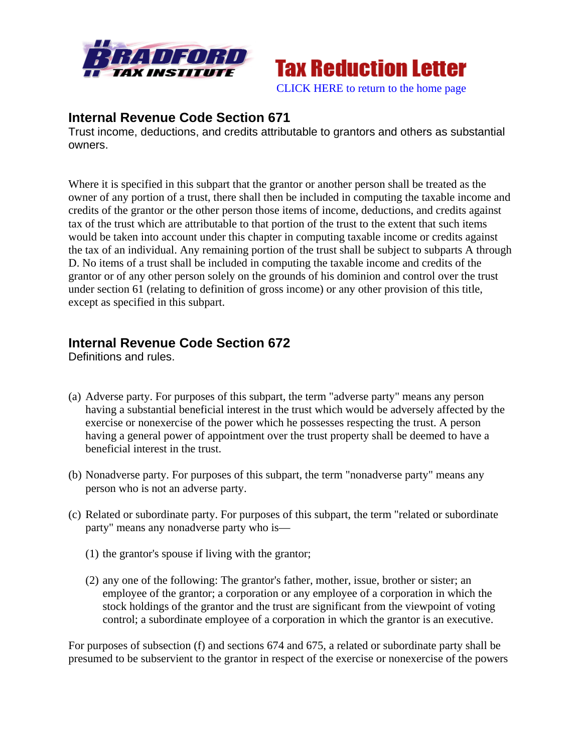



Trust income, deductions, and credits attributable to grantors and others as substantial owners.

Where it is specified in this subpart that the grantor or another person shall be treated as the owner of any portion of a trust, there shall then be included in computing the taxable income and credits of the grantor or the other person those items of income, deductions, and credits against tax of the trust which are attributable to that portion of the trust to the extent that such items would be taken into account under this chapter in computing taxable income or credits against the tax of an individual. Any remaining portion of the trust shall be subject to subparts A through D. No items of a trust shall be included in computing the taxable income and credits of the grantor or of any other person solely on the grounds of his dominion and control over the trust under section 61 (relating to definition of gross income) or any other provision of this title, except as specified in this subpart.

# **Internal Revenue Code Section 672**

Definitions and rules.

- (a) Adverse party. For purposes of this subpart, the term "adverse party" means any person having a substantial beneficial interest in the trust which would be adversely affected by the exercise or nonexercise of the power which he possesses respecting the trust. A person having a general power of appointment over the trust property shall be deemed to have a beneficial interest in the trust.
- (b) Nonadverse party. For purposes of this subpart, the term "nonadverse party" means any person who is not an adverse party.
- (c) Related or subordinate party. For purposes of this subpart, the term "related or subordinate party" means any nonadverse party who is—
	- (1) the grantor's spouse if living with the grantor;
	- (2) any one of the following: The grantor's father, mother, issue, brother or sister; an employee of the grantor; a corporation or any employee of a corporation in which the stock holdings of the grantor and the trust are significant from the viewpoint of voting control; a subordinate employee of a corporation in which the grantor is an executive.

For purposes of subsection (f) and sections 674 and 675, a related or subordinate party shall be presumed to be subservient to the grantor in respect of the exercise or nonexercise of the powers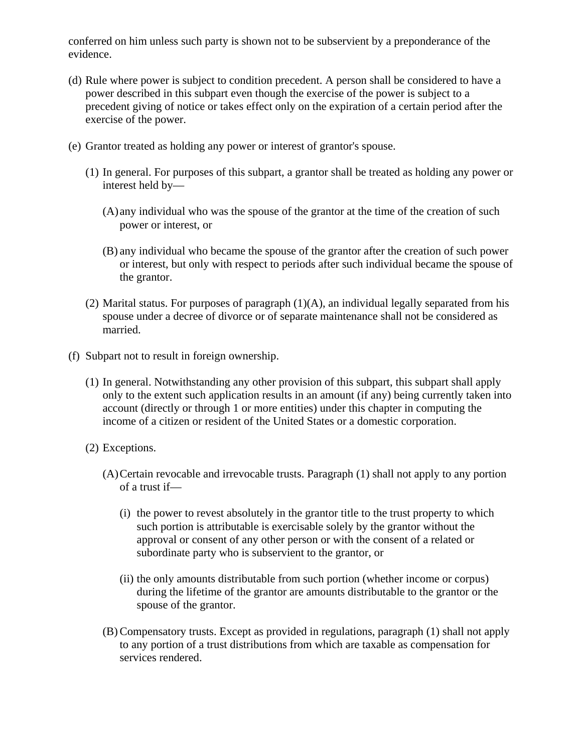conferred on him unless such party is shown not to be subservient by a preponderance of the evidence.

- (d) Rule where power is subject to condition precedent. A person shall be considered to have a power described in this subpart even though the exercise of the power is subject to a precedent giving of notice or takes effect only on the expiration of a certain period after the exercise of the power.
- (e) Grantor treated as holding any power or interest of grantor's spouse.
	- (1) In general. For purposes of this subpart, a grantor shall be treated as holding any power or interest held by—
		- (A) any individual who was the spouse of the grantor at the time of the creation of such power or interest, or
		- (B) any individual who became the spouse of the grantor after the creation of such power or interest, but only with respect to periods after such individual became the spouse of the grantor.
	- (2) Marital status. For purposes of paragraph (1)(A), an individual legally separated from his spouse under a decree of divorce or of separate maintenance shall not be considered as married.
- (f) Subpart not to result in foreign ownership.
	- (1) In general. Notwithstanding any other provision of this subpart, this subpart shall apply only to the extent such application results in an amount (if any) being currently taken into account (directly or through 1 or more entities) under this chapter in computing the income of a citizen or resident of the United States or a domestic corporation.
	- (2) Exceptions.
		- (A)Certain revocable and irrevocable trusts. Paragraph (1) shall not apply to any portion of a trust if—
			- (i) the power to revest absolutely in the grantor title to the trust property to which such portion is attributable is exercisable solely by the grantor without the approval or consent of any other person or with the consent of a related or subordinate party who is subservient to the grantor, or
			- (ii) the only amounts distributable from such portion (whether income or corpus) during the lifetime of the grantor are amounts distributable to the grantor or the spouse of the grantor.
		- (B) Compensatory trusts. Except as provided in regulations, paragraph (1) shall not apply to any portion of a trust distributions from which are taxable as compensation for services rendered.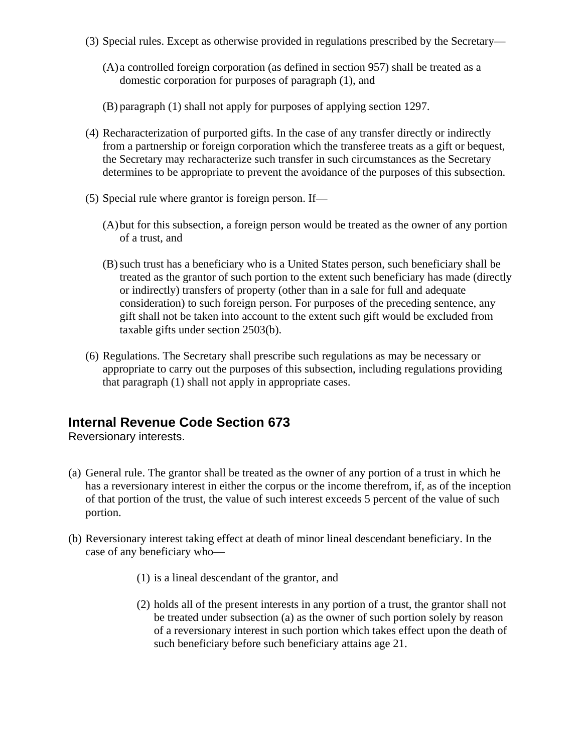- (3) Special rules. Except as otherwise provided in regulations prescribed by the Secretary—
	- (A) a controlled foreign corporation (as defined in section 957) shall be treated as a domestic corporation for purposes of paragraph (1), and
	- (B) paragraph (1) shall not apply for purposes of applying section 1297.
- (4) Recharacterization of purported gifts. In the case of any transfer directly or indirectly from a partnership or foreign corporation which the transferee treats as a gift or bequest, the Secretary may recharacterize such transfer in such circumstances as the Secretary determines to be appropriate to prevent the avoidance of the purposes of this subsection.
- (5) Special rule where grantor is foreign person. If—
	- (A)but for this subsection, a foreign person would be treated as the owner of any portion of a trust, and
	- (B)such trust has a beneficiary who is a United States person, such beneficiary shall be treated as the grantor of such portion to the extent such beneficiary has made (directly or indirectly) transfers of property (other than in a sale for full and adequate consideration) to such foreign person. For purposes of the preceding sentence, any gift shall not be taken into account to the extent such gift would be excluded from taxable gifts under section 2503(b).
- (6) Regulations. The Secretary shall prescribe such regulations as may be necessary or appropriate to carry out the purposes of this subsection, including regulations providing that paragraph (1) shall not apply in appropriate cases.

Reversionary interests.

- (a) General rule. The grantor shall be treated as the owner of any portion of a trust in which he has a reversionary interest in either the corpus or the income therefrom, if, as of the inception of that portion of the trust, the value of such interest exceeds 5 percent of the value of such portion.
- (b) Reversionary interest taking effect at death of minor lineal descendant beneficiary. In the case of any beneficiary who—
	- (1) is a lineal descendant of the grantor, and
	- (2) holds all of the present interests in any portion of a trust, the grantor shall not be treated under subsection (a) as the owner of such portion solely by reason of a reversionary interest in such portion which takes effect upon the death of such beneficiary before such beneficiary attains age 21.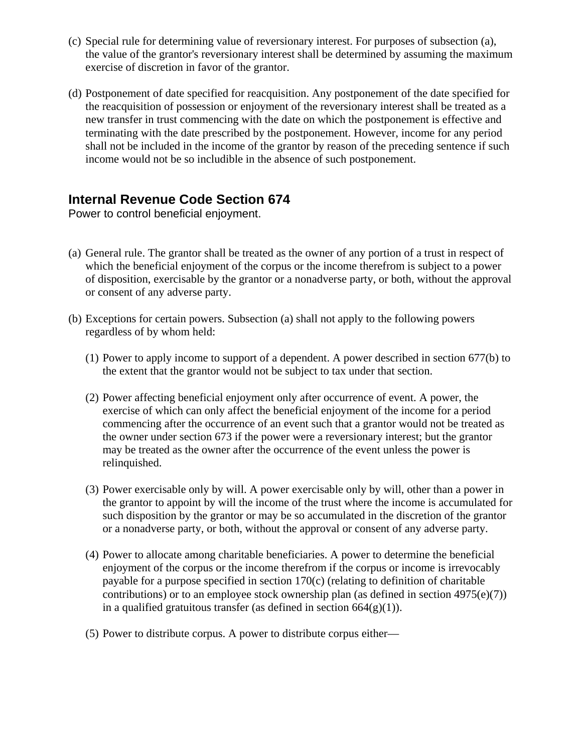- (c) Special rule for determining value of reversionary interest. For purposes of subsection (a), the value of the grantor's reversionary interest shall be determined by assuming the maximum exercise of discretion in favor of the grantor.
- (d) Postponement of date specified for reacquisition. Any postponement of the date specified for the reacquisition of possession or enjoyment of the reversionary interest shall be treated as a new transfer in trust commencing with the date on which the postponement is effective and terminating with the date prescribed by the postponement. However, income for any period shall not be included in the income of the grantor by reason of the preceding sentence if such income would not be so includible in the absence of such postponement.

Power to control beneficial enjoyment.

- (a) General rule. The grantor shall be treated as the owner of any portion of a trust in respect of which the beneficial enjoyment of the corpus or the income therefrom is subject to a power of disposition, exercisable by the grantor or a nonadverse party, or both, without the approval or consent of any adverse party.
- (b) Exceptions for certain powers. Subsection (a) shall not apply to the following powers regardless of by whom held:
	- (1) Power to apply income to support of a dependent. A power described in section 677(b) to the extent that the grantor would not be subject to tax under that section.
	- (2) Power affecting beneficial enjoyment only after occurrence of event. A power, the exercise of which can only affect the beneficial enjoyment of the income for a period commencing after the occurrence of an event such that a grantor would not be treated as the owner under section 673 if the power were a reversionary interest; but the grantor may be treated as the owner after the occurrence of the event unless the power is relinquished.
	- (3) Power exercisable only by will. A power exercisable only by will, other than a power in the grantor to appoint by will the income of the trust where the income is accumulated for such disposition by the grantor or may be so accumulated in the discretion of the grantor or a nonadverse party, or both, without the approval or consent of any adverse party.
	- (4) Power to allocate among charitable beneficiaries. A power to determine the beneficial enjoyment of the corpus or the income therefrom if the corpus or income is irrevocably payable for a purpose specified in section 170(c) (relating to definition of charitable contributions) or to an employee stock ownership plan (as defined in section  $4975(e)(7)$ ) in a qualified gratuitous transfer (as defined in section  $664(g)(1)$ ).
	- (5) Power to distribute corpus. A power to distribute corpus either—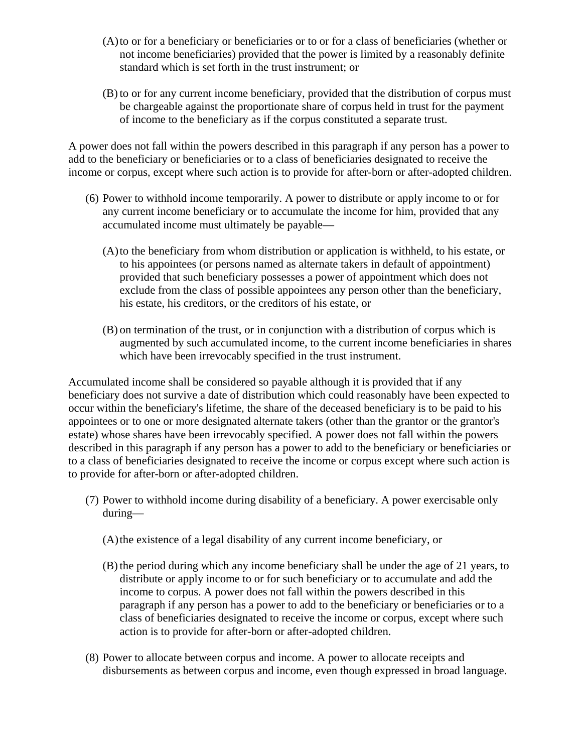- (A)to or for a beneficiary or beneficiaries or to or for a class of beneficiaries (whether or not income beneficiaries) provided that the power is limited by a reasonably definite standard which is set forth in the trust instrument; or
- (B) to or for any current income beneficiary, provided that the distribution of corpus must be chargeable against the proportionate share of corpus held in trust for the payment of income to the beneficiary as if the corpus constituted a separate trust.

A power does not fall within the powers described in this paragraph if any person has a power to add to the beneficiary or beneficiaries or to a class of beneficiaries designated to receive the income or corpus, except where such action is to provide for after-born or after-adopted children.

- (6) Power to withhold income temporarily. A power to distribute or apply income to or for any current income beneficiary or to accumulate the income for him, provided that any accumulated income must ultimately be payable—
	- (A)to the beneficiary from whom distribution or application is withheld, to his estate, or to his appointees (or persons named as alternate takers in default of appointment) provided that such beneficiary possesses a power of appointment which does not exclude from the class of possible appointees any person other than the beneficiary, his estate, his creditors, or the creditors of his estate, or
	- (B) on termination of the trust, or in conjunction with a distribution of corpus which is augmented by such accumulated income, to the current income beneficiaries in shares which have been irrevocably specified in the trust instrument.

Accumulated income shall be considered so payable although it is provided that if any beneficiary does not survive a date of distribution which could reasonably have been expected to occur within the beneficiary's lifetime, the share of the deceased beneficiary is to be paid to his appointees or to one or more designated alternate takers (other than the grantor or the grantor's estate) whose shares have been irrevocably specified. A power does not fall within the powers described in this paragraph if any person has a power to add to the beneficiary or beneficiaries or to a class of beneficiaries designated to receive the income or corpus except where such action is to provide for after-born or after-adopted children.

- (7) Power to withhold income during disability of a beneficiary. A power exercisable only during—
	- (A)the existence of a legal disability of any current income beneficiary, or
	- (B) the period during which any income beneficiary shall be under the age of 21 years, to distribute or apply income to or for such beneficiary or to accumulate and add the income to corpus. A power does not fall within the powers described in this paragraph if any person has a power to add to the beneficiary or beneficiaries or to a class of beneficiaries designated to receive the income or corpus, except where such action is to provide for after-born or after-adopted children.
- (8) Power to allocate between corpus and income. A power to allocate receipts and disbursements as between corpus and income, even though expressed in broad language.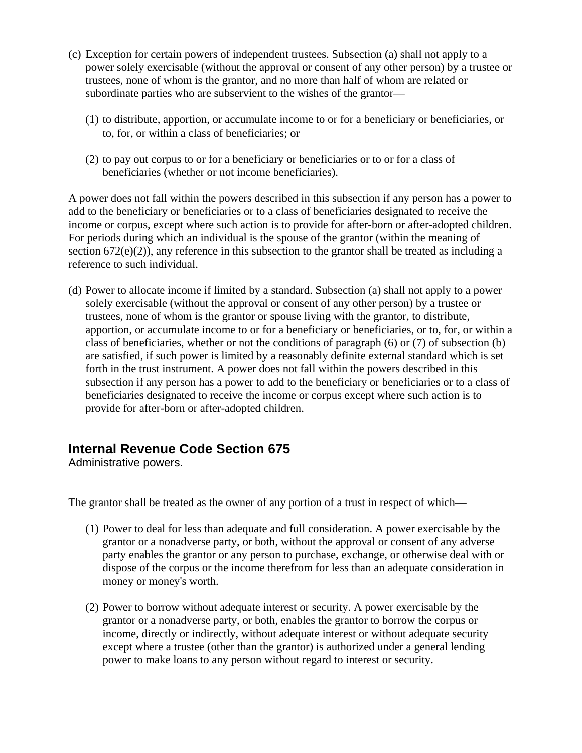- (c) Exception for certain powers of independent trustees. Subsection (a) shall not apply to a power solely exercisable (without the approval or consent of any other person) by a trustee or trustees, none of whom is the grantor, and no more than half of whom are related or subordinate parties who are subservient to the wishes of the grantor—
	- (1) to distribute, apportion, or accumulate income to or for a beneficiary or beneficiaries, or to, for, or within a class of beneficiaries; or
	- (2) to pay out corpus to or for a beneficiary or beneficiaries or to or for a class of beneficiaries (whether or not income beneficiaries).

A power does not fall within the powers described in this subsection if any person has a power to add to the beneficiary or beneficiaries or to a class of beneficiaries designated to receive the income or corpus, except where such action is to provide for after-born or after-adopted children. For periods during which an individual is the spouse of the grantor (within the meaning of section 672(e)(2)), any reference in this subsection to the grantor shall be treated as including a reference to such individual.

(d) Power to allocate income if limited by a standard. Subsection (a) shall not apply to a power solely exercisable (without the approval or consent of any other person) by a trustee or trustees, none of whom is the grantor or spouse living with the grantor, to distribute, apportion, or accumulate income to or for a beneficiary or beneficiaries, or to, for, or within a class of beneficiaries, whether or not the conditions of paragraph (6) or (7) of subsection (b) are satisfied, if such power is limited by a reasonably definite external standard which is set forth in the trust instrument. A power does not fall within the powers described in this subsection if any person has a power to add to the beneficiary or beneficiaries or to a class of beneficiaries designated to receive the income or corpus except where such action is to provide for after-born or after-adopted children.

# **Internal Revenue Code Section 675**

Administrative powers.

The grantor shall be treated as the owner of any portion of a trust in respect of which—

- (1) Power to deal for less than adequate and full consideration. A power exercisable by the grantor or a nonadverse party, or both, without the approval or consent of any adverse party enables the grantor or any person to purchase, exchange, or otherwise deal with or dispose of the corpus or the income therefrom for less than an adequate consideration in money or money's worth.
- (2) Power to borrow without adequate interest or security. A power exercisable by the grantor or a nonadverse party, or both, enables the grantor to borrow the corpus or income, directly or indirectly, without adequate interest or without adequate security except where a trustee (other than the grantor) is authorized under a general lending power to make loans to any person without regard to interest or security.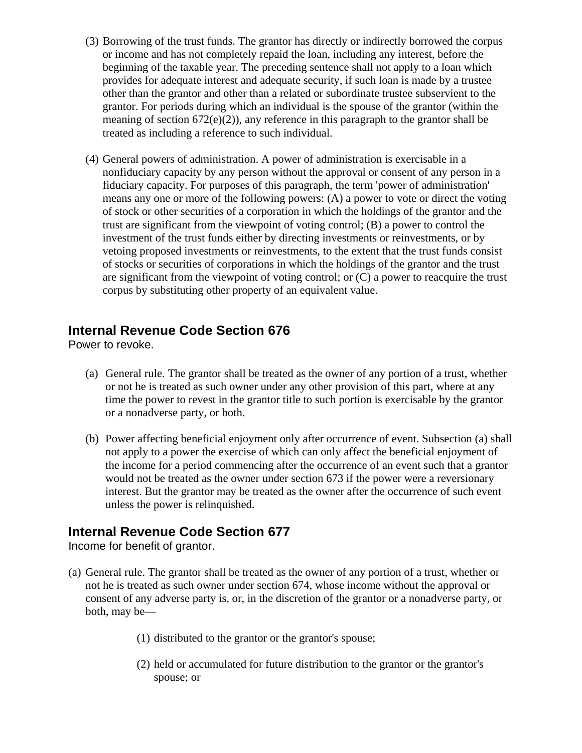- (3) Borrowing of the trust funds. The grantor has directly or indirectly borrowed the corpus or income and has not completely repaid the loan, including any interest, before the beginning of the taxable year. The preceding sentence shall not apply to a loan which provides for adequate interest and adequate security, if such loan is made by a trustee other than the grantor and other than a related or subordinate trustee subservient to the grantor. For periods during which an individual is the spouse of the grantor (within the meaning of section  $672(e)(2)$ , any reference in this paragraph to the grantor shall be treated as including a reference to such individual.
- (4) General powers of administration. A power of administration is exercisable in a nonfiduciary capacity by any person without the approval or consent of any person in a fiduciary capacity. For purposes of this paragraph, the term 'power of administration' means any one or more of the following powers: (A) a power to vote or direct the voting of stock or other securities of a corporation in which the holdings of the grantor and the trust are significant from the viewpoint of voting control; (B) a power to control the investment of the trust funds either by directing investments or reinvestments, or by vetoing proposed investments or reinvestments, to the extent that the trust funds consist of stocks or securities of corporations in which the holdings of the grantor and the trust are significant from the viewpoint of voting control; or (C) a power to reacquire the trust corpus by substituting other property of an equivalent value.

Power to revoke.

- (a) General rule. The grantor shall be treated as the owner of any portion of a trust, whether or not he is treated as such owner under any other provision of this part, where at any time the power to revest in the grantor title to such portion is exercisable by the grantor or a nonadverse party, or both.
- (b) Power affecting beneficial enjoyment only after occurrence of event. Subsection (a) shall not apply to a power the exercise of which can only affect the beneficial enjoyment of the income for a period commencing after the occurrence of an event such that a grantor would not be treated as the owner under section 673 if the power were a reversionary interest. But the grantor may be treated as the owner after the occurrence of such event unless the power is relinquished.

#### **Internal Revenue Code Section 677**

Income for benefit of grantor.

- (a) General rule. The grantor shall be treated as the owner of any portion of a trust, whether or not he is treated as such owner under section 674, whose income without the approval or consent of any adverse party is, or, in the discretion of the grantor or a nonadverse party, or both, may be—
	- (1) distributed to the grantor or the grantor's spouse;
	- (2) held or accumulated for future distribution to the grantor or the grantor's spouse; or